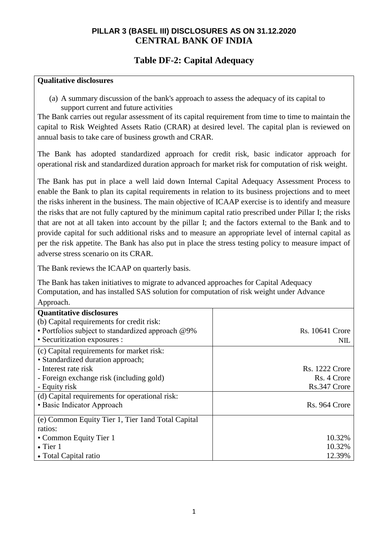#### **PILLAR 3 (BASEL III) DISCLOSURES AS ON 31.12.2020 CENTRAL BANK OF INDIA**

#### **Table DF-2: Capital Adequacy**

#### **Qualitative disclosures**

(a) A summary discussion of the bank's approach to assess the adequacy of its capital to support current and future activities

The Bank carries out regular assessment of its capital requirement from time to time to maintain the capital to Risk Weighted Assets Ratio (CRAR) at desired level. The capital plan is reviewed on annual basis to take care of business growth and CRAR.

The Bank has adopted standardized approach for credit risk, basic indicator approach for operational risk and standardized duration approach for market risk for computation of risk weight.

The Bank has put in place a well laid down Internal Capital Adequacy Assessment Process to enable the Bank to plan its capital requirements in relation to its business projections and to meet the risks inherent in the business. The main objective of ICAAP exercise is to identify and measure the risks that are not fully captured by the minimum capital ratio prescribed under Pillar I; the risks that are not at all taken into account by the pillar I; and the factors external to the Bank and to provide capital for such additional risks and to measure an appropriate level of internal capital as per the risk appetite. The Bank has also put in place the stress testing policy to measure impact of adverse stress scenario on its CRAR.

The Bank reviews the ICAAP on quarterly basis.

The Bank has taken initiatives to migrate to advanced approaches for Capital Adequacy Computation, and has installed SAS solution for computation of risk weight under Advance Approach.

| <b>Quantitative disclosures</b>                    |                        |
|----------------------------------------------------|------------------------|
| (b) Capital requirements for credit risk:          |                        |
| • Portfolios subject to standardized approach @9%  | <b>Rs.</b> 10641 Crore |
| • Securitization exposures :                       | NIL                    |
| (c) Capital requirements for market risk:          |                        |
| • Standardized duration approach;                  |                        |
| - Interest rate risk                               | <b>Rs. 1222 Crore</b>  |
| - Foreign exchange risk (including gold)           | Rs. 4 Crore            |
| - Equity risk                                      | Rs.347 Crore           |
| (d) Capital requirements for operational risk:     |                        |
| • Basic Indicator Approach                         | Rs. 964 Crore          |
|                                                    |                        |
| (e) Common Equity Tier 1, Tier 1 and Total Capital |                        |
| ratios:                                            |                        |
| • Common Equity Tier 1                             | 10.32%                 |
| $\bullet$ Tier 1                                   | 10.32%                 |
| • Total Capital ratio                              | 12.39%                 |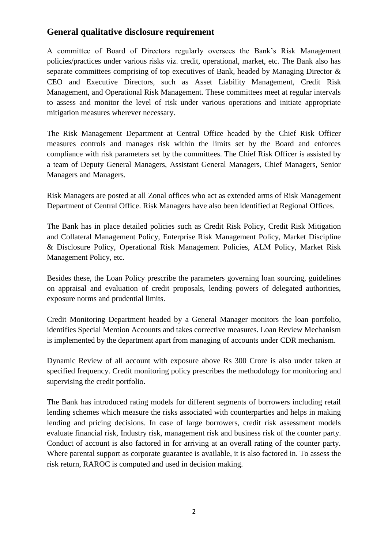#### **General qualitative disclosure requirement**

A committee of Board of Directors regularly oversees the Bank's Risk Management policies/practices under various risks viz. credit, operational, market, etc. The Bank also has separate committees comprising of top executives of Bank, headed by Managing Director & CEO and Executive Directors, such as Asset Liability Management, Credit Risk Management, and Operational Risk Management. These committees meet at regular intervals to assess and monitor the level of risk under various operations and initiate appropriate mitigation measures wherever necessary.

The Risk Management Department at Central Office headed by the Chief Risk Officer measures controls and manages risk within the limits set by the Board and enforces compliance with risk parameters set by the committees. The Chief Risk Officer is assisted by a team of Deputy General Managers, Assistant General Managers, Chief Managers, Senior Managers and Managers.

Risk Managers are posted at all Zonal offices who act as extended arms of Risk Management Department of Central Office. Risk Managers have also been identified at Regional Offices.

The Bank has in place detailed policies such as Credit Risk Policy, Credit Risk Mitigation and Collateral Management Policy, Enterprise Risk Management Policy, Market Discipline & Disclosure Policy, Operational Risk Management Policies, ALM Policy, Market Risk Management Policy, etc.

Besides these, the Loan Policy prescribe the parameters governing loan sourcing, guidelines on appraisal and evaluation of credit proposals, lending powers of delegated authorities, exposure norms and prudential limits.

Credit Monitoring Department headed by a General Manager monitors the loan portfolio, identifies Special Mention Accounts and takes corrective measures. Loan Review Mechanism is implemented by the department apart from managing of accounts under CDR mechanism.

Dynamic Review of all account with exposure above Rs 300 Crore is also under taken at specified frequency. Credit monitoring policy prescribes the methodology for monitoring and supervising the credit portfolio.

The Bank has introduced rating models for different segments of borrowers including retail lending schemes which measure the risks associated with counterparties and helps in making lending and pricing decisions. In case of large borrowers, credit risk assessment models evaluate financial risk, Industry risk, management risk and business risk of the counter party. Conduct of account is also factored in for arriving at an overall rating of the counter party. Where parental support as corporate guarantee is available, it is also factored in. To assess the risk return, RAROC is computed and used in decision making.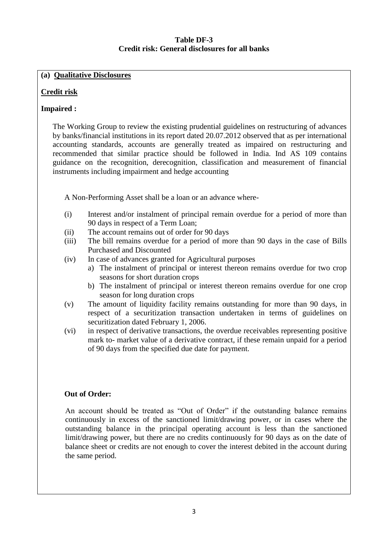#### **Table DF-3 Credit risk: General disclosures for all banks**

#### **(a) Qualitative Disclosures**

#### **Credit risk**

#### **Impaired :**

The Working Group to review the existing prudential guidelines on restructuring of advances by banks/financial institutions in its report dated 20.07.2012 observed that as per international accounting standards, accounts are generally treated as impaired on restructuring and recommended that similar practice should be followed in India. Ind AS 109 contains guidance on the recognition, derecognition, classification and measurement of financial instruments including impairment and hedge accounting

A Non-Performing Asset shall be a loan or an advance where-

- (i) Interest and/or instalment of principal remain overdue for a period of more than 90 days in respect of a Term Loan;
- (ii) The account remains out of order for 90 days
- (iii) The bill remains overdue for a period of more than 90 days in the case of Bills Purchased and Discounted
- (iv) In case of advances granted for Agricultural purposes
	- a) The instalment of principal or interest thereon remains overdue for two crop seasons for short duration crops
	- b) The instalment of principal or interest thereon remains overdue for one crop season for long duration crops
- (v) The amount of liquidity facility remains outstanding for more than 90 days, in respect of a securitization transaction undertaken in terms of guidelines on securitization dated February 1, 2006.
- (vi) in respect of derivative transactions, the overdue receivables representing positive mark to- market value of a derivative contract, if these remain unpaid for a period of 90 days from the specified due date for payment.

#### **Out of Order:**

An account should be treated as "Out of Order" if the outstanding balance remains continuously in excess of the sanctioned limit/drawing power, or in cases where the outstanding balance in the principal operating account is less than the sanctioned limit/drawing power, but there are no credits continuously for 90 days as on the date of balance sheet or credits are not enough to cover the interest debited in the account during the same period.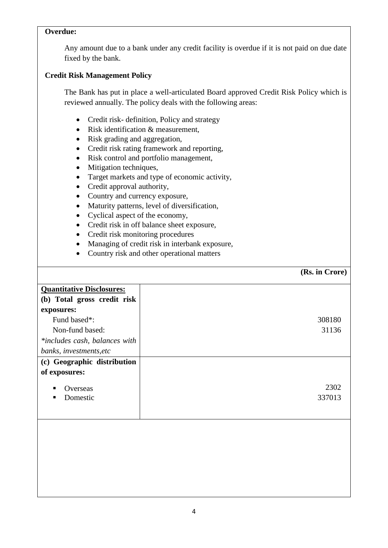#### **Overdue:**

Any amount due to a bank under any credit facility is overdue if it is not paid on due date fixed by the bank.

#### **Credit Risk Management Policy**

The Bank has put in place a well-articulated Board approved Credit Risk Policy which is reviewed annually. The policy deals with the following areas:

- Credit risk- definition, Policy and strategy
- Risk identification & measurement,
- Risk grading and aggregation,
- Credit risk rating framework and reporting,
- Risk control and portfolio management,
- Mitigation techniques,
- Target markets and type of economic activity,
- Credit approval authority,
- Country and currency exposure,
- Maturity patterns, level of diversification,
- Cyclical aspect of the economy,
- Credit risk in off balance sheet exposure,
- Credit risk monitoring procedures
- Managing of credit risk in interbank exposure,
- Country risk and other operational matters

#### **(Rs. in Crore)**

| <b>Quantitative Disclosures:</b> |
|----------------------------------|
| (b) Total gross credit risk      |
| exposures:                       |
| Fund based*:                     |
| Non-fund based:                  |
| *includes cash, balances with    |
| banks, investments, etc          |
| (c) Geographic distribution      |
| of exposures:                    |
| Overseas<br>Domestic<br>п        |
|                                  |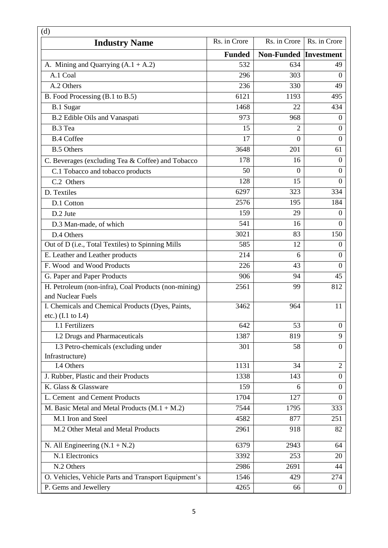| (d)                                                                                |               |                              |                  |
|------------------------------------------------------------------------------------|---------------|------------------------------|------------------|
| <b>Industry Name</b>                                                               | Rs. in Crore  | Rs. in Crore                 | Rs. in Crore     |
|                                                                                    | <b>Funded</b> | <b>Non-Funded Investment</b> |                  |
| A. Mining and Quarrying $(A.1 + A.2)$                                              | 532           | 634                          | 49               |
| A.1 Coal                                                                           | 296           | 303                          | $\Omega$         |
| A.2 Others                                                                         | 236           | 330                          | 49               |
| B. Food Processing (B.1 to B.5)                                                    | 6121          | 1193                         | 495              |
| B.1 Sugar                                                                          | 1468          | 22                           | 434              |
| B.2 Edible Oils and Vanaspati                                                      | 973           | 968                          | $\Omega$         |
| B.3 Tea                                                                            | 15            | $\overline{2}$               | $\overline{0}$   |
| <b>B.4 Coffee</b>                                                                  | 17            | $\overline{0}$               | $\theta$         |
| <b>B.5 Others</b>                                                                  | 3648          | 201                          | 61               |
| C. Beverages (excluding Tea & Coffee) and Tobacco                                  | 178           | 16                           | $\boldsymbol{0}$ |
| C.1 Tobacco and tobacco products                                                   | 50            | $\Omega$                     | $\overline{0}$   |
| C.2 Others                                                                         | 128           | 15                           | $\overline{0}$   |
| D. Textiles                                                                        | 6297          | 323                          | 334              |
| D.1 Cotton                                                                         | 2576          | 195                          | 184              |
| D.2 Jute                                                                           | 159           | 29                           | $\theta$         |
| D.3 Man-made, of which                                                             | 541           | 16                           | $\overline{0}$   |
| D.4 Others                                                                         | 3021          | 83                           | 150              |
| Out of D (i.e., Total Textiles) to Spinning Mills                                  | 585           | 12                           | $\theta$         |
| E. Leather and Leather products                                                    | 214           | 6                            | $\boldsymbol{0}$ |
| F. Wood and Wood Products                                                          | 226           | 43                           | $\overline{0}$   |
| G. Paper and Paper Products                                                        | 906           | 94                           | 45               |
| H. Petroleum (non-infra), Coal Products (non-mining)                               | 2561          | 99                           | 812              |
| and Nuclear Fuels                                                                  |               |                              |                  |
| I. Chemicals and Chemical Products (Dyes, Paints,<br>etc.) $(I.1 \text{ to } I.4)$ | 3462          | 964                          | 11               |
| I.1 Fertilizers                                                                    | 642           | 53                           | $\overline{0}$   |
| I.2 Drugs and Pharmaceuticals                                                      | 1387          | 819                          | 9                |
| I.3 Petro-chemicals (excluding under<br>Infrastructure)                            | 301           | 58                           | $\theta$         |
| I.4 Others                                                                         | 1131          | 34                           | $\overline{2}$   |
| J. Rubber, Plastic and their Products                                              | 1338          | 143                          | $\overline{0}$   |
| K. Glass & Glassware                                                               | 159           | 6                            | $\mathbf{0}$     |
| L. Cement and Cement Products                                                      | 1704          | 127                          | $\boldsymbol{0}$ |
| M. Basic Metal and Metal Products $(M.1 + M.2)$                                    | 7544          | 1795                         | 333              |
| M.1 Iron and Steel                                                                 | 4582          | 877                          | 251              |
| M.2 Other Metal and Metal Products                                                 | 2961          | 918                          | 82               |
| N. All Engineering $(N.1 + N.2)$                                                   | 6379          | 2943                         | 64               |
| N.1 Electronics                                                                    | 3392          | 253                          | 20               |
| N.2 Others                                                                         | 2986          | 2691                         | 44               |
| O. Vehicles, Vehicle Parts and Transport Equipment's                               | 1546          | 429                          | 274              |
| P. Gems and Jewellery                                                              | 4265          | 66                           | $\boldsymbol{0}$ |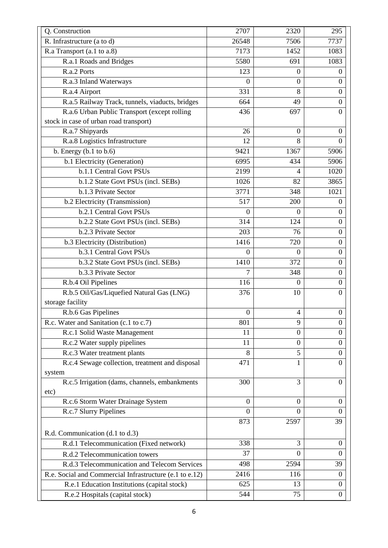| Q. Construction                                         | 2707             | 2320             | 295              |
|---------------------------------------------------------|------------------|------------------|------------------|
| R. Infrastructure (a to d)                              | 26548            | 7506             | 7737             |
| R.a Transport (a.1 to a.8)                              | 7173             | 1452             | 1083             |
| R.a.1 Roads and Bridges                                 | 5580             | 691              | 1083             |
| R.a.2 Ports                                             | 123              | $\boldsymbol{0}$ | $\boldsymbol{0}$ |
| R.a.3 Inland Waterways                                  | $\mathbf{0}$     | $\boldsymbol{0}$ | $\boldsymbol{0}$ |
| R.a.4 Airport                                           | 331              | 8                | $\overline{0}$   |
| R.a.5 Railway Track, tunnels, viaducts, bridges         | 664              | 49               | $\Omega$         |
| R.a.6 Urban Public Transport (except rolling            | 436              | 697              | $\Omega$         |
| stock in case of urban road transport)                  |                  |                  |                  |
| R.a.7 Shipyards                                         | 26               | $\Omega$         | $\Omega$         |
| R.a.8 Logistics Infrastructure                          | 12               | 8                | $\overline{0}$   |
| b. Energy $(b.1$ to $b.6)$                              | 9421             | 1367             | 5906             |
| b.1 Electricity (Generation)                            | 6995             | 434              | 5906             |
| <b>b.1.1 Central Govt PSUs</b>                          | 2199             | 4                | 1020             |
| b.1.2 State Govt PSUs (incl. SEBs)                      | 1026             | 82               | 3865             |
| b.1.3 Private Sector                                    | 3771             | 348              | 1021             |
| b.2 Electricity (Transmission)                          | 517              | 200              | $\theta$         |
| b.2.1 Central Govt PSUs                                 | $\mathbf{0}$     | $\boldsymbol{0}$ | $\boldsymbol{0}$ |
| <b>b.2.2</b> State Govt PSUs (incl. SEBs)               | 314              | 124              | $\overline{0}$   |
| b.2.3 Private Sector                                    | 203              | 76               | $\boldsymbol{0}$ |
| b.3 Electricity (Distribution)                          | 1416             | 720              | $\mathbf{0}$     |
| b.3.1 Central Govt PSUs                                 | $\theta$         | $\mathbf{0}$     | $\boldsymbol{0}$ |
| b.3.2 State Govt PSUs (incl. SEBs)                      | 1410             | 372              | $\boldsymbol{0}$ |
| b.3.3 Private Sector                                    | 7                | 348              | $\boldsymbol{0}$ |
| R.b.4 Oil Pipelines                                     | 116              | $\Omega$         | $\boldsymbol{0}$ |
| R.b.5 Oil/Gas/Liquefied Natural Gas (LNG)               | 376              | 10               | $\overline{0}$   |
| storage facility                                        |                  |                  |                  |
| R.b.6 Gas Pipelines                                     | $\boldsymbol{0}$ | $\overline{4}$   | $\boldsymbol{0}$ |
| R.c. Water and Sanitation (c.1 to c.7)                  | 801              | 9                | $\boldsymbol{0}$ |
| R.c.1 Solid Waste Management                            | 11               | $\boldsymbol{0}$ | $\boldsymbol{0}$ |
| R.c.2 Water supply pipelines                            | 11               | $\boldsymbol{0}$ | $\boldsymbol{0}$ |
| R.c.3 Water treatment plants                            | 8                | 5                | $\overline{0}$   |
| R.c.4 Sewage collection, treatment and disposal         | 471              | 1                | $\Omega$         |
| system                                                  |                  |                  |                  |
| R.c.5 Irrigation (dams, channels, embankments           | 300              | 3                | $\mathbf{0}$     |
| etc)                                                    |                  |                  |                  |
| R.c.6 Storm Water Drainage System                       | $\overline{0}$   | $\mathbf{0}$     | $\theta$         |
| R.c.7 Slurry Pipelines                                  | $\overline{0}$   | $\overline{0}$   | $\overline{0}$   |
|                                                         | 873              | 2597             | 39               |
| R.d. Communication (d.1 to d.3)                         |                  |                  |                  |
| R.d.1 Telecommunication (Fixed network)                 | 338              | 3                | $\boldsymbol{0}$ |
| R.d.2 Telecommunication towers                          | 37               | $\overline{0}$   | $\theta$         |
| R.d.3 Telecommunication and Telecom Services            | 498              | 2594             | 39               |
| R.e. Social and Commercial Infrastructure (e.1 to e.12) | 2416             | 116              | $\boldsymbol{0}$ |
| R.e.1 Education Institutions (capital stock)            | 625              | 13               | $\boldsymbol{0}$ |
| R.e.2 Hospitals (capital stock)                         | 544              | 75               | $\boldsymbol{0}$ |
|                                                         |                  |                  |                  |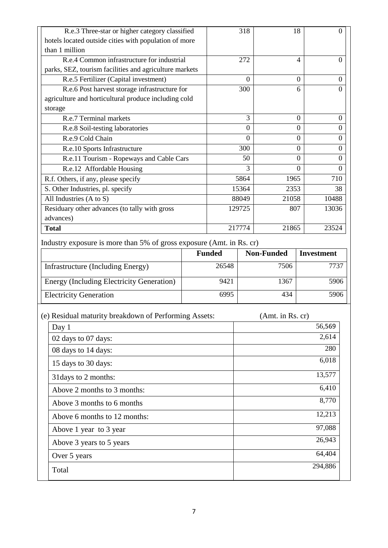| R.e.3 Three-star or higher category classified         | 318            | 18       | 0              |
|--------------------------------------------------------|----------------|----------|----------------|
| hotels located outside cities with population of more  |                |          |                |
| than 1 million                                         |                |          |                |
| R.e.4 Common infrastructure for industrial             | 272            | 4        | $\Omega$       |
| parks, SEZ, tourism facilities and agriculture markets |                |          |                |
| R.e.5 Fertilizer (Capital investment)                  | $\overline{0}$ | $\Omega$ | $\theta$       |
| R.e.6 Post harvest storage infrastructure for          | 300            | 6        | $\Omega$       |
| agriculture and horticultural produce including cold   |                |          |                |
| storage                                                |                |          |                |
| R.e.7 Terminal markets                                 | 3              | $\Omega$ | $\Omega$       |
| R.e.8 Soil-testing laboratories                        | $\Omega$       | $\Omega$ | $\Omega$       |
| R.e.9 Cold Chain                                       | $\theta$       | $\Omega$ | $\theta$       |
| R.e.10 Sports Infrastructure                           | 300            | $\Omega$ | $\overline{0}$ |
| R.e.11 Tourism - Ropeways and Cable Cars               | 50             | $\Omega$ | $\Omega$       |
| R.e.12 Affordable Housing                              | 3              | $\Omega$ | $\theta$       |
| R.f. Others, if any, please specify                    | 5864           | 1965     | 710            |
| S. Other Industries, pl. specify                       | 15364          | 2353     | 38             |
| All Industries (A to S)                                | 88049          | 21058    | 10488          |
| Residuary other advances (to tally with gross          | 129725         | 807      | 13036          |
| advances)                                              |                |          |                |
| <b>Total</b>                                           | 217774         | 21865    | 23524          |

Industry exposure is more than 5% of gross exposure (Amt. in Rs. cr)

|                                                  | <b>Funded</b> | <b>Non-Funded</b> | <b>Investment</b> |
|--------------------------------------------------|---------------|-------------------|-------------------|
| Infrastructure (Including Energy)                | 26548         | 7506              | 7737              |
| <b>Energy (Including Electricity Generation)</b> | 9421          | 1367              | 5906              |
| <b>Electricity Generation</b>                    | 6995          | 434               | 5906              |

| (e) Residual maturity breakdown of Performing Assets: | (Amt. in Rs. cr) |
|-------------------------------------------------------|------------------|
| Day $1$                                               | 56,569           |
| 02 days to 07 days:                                   | 2,614            |
| 08 days to 14 days:                                   | 280              |
| 15 days to 30 days:                                   | 6,018            |
| 31 days to 2 months:                                  | 13,577           |
| Above 2 months to 3 months:                           | 6,410            |
| Above 3 months to 6 months                            | 8,770            |
| Above 6 months to 12 months:                          | 12,213           |
| Above 1 year to 3 year                                | 97,088           |
| Above 3 years to 5 years                              | 26,943           |
| Over 5 years                                          | 64,404           |
| Total                                                 | 294,886          |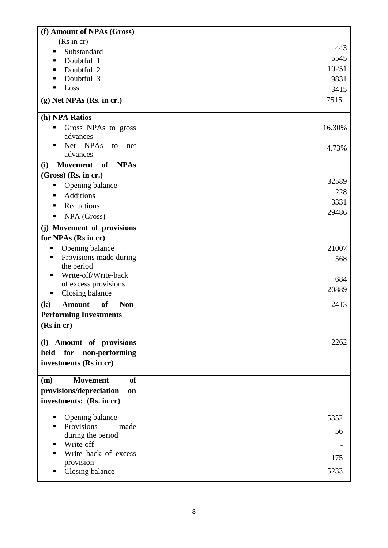| (Rs in cr)<br>443<br>Substandard<br>٠<br>5545<br>Doubtful 1<br>п<br>10251<br>Doubtful 2<br>Doubtful 3<br>9831<br>г<br>Loss<br>п<br>3415<br>7515<br>$(g)$ Net NPAs (Rs. in cr.)<br>(h) NPA Ratios<br>16.30%<br>Gross NPAs to gross<br>٠<br>advances<br>Net NPAs<br>to<br>Ξ<br>net<br>4.73%<br>advances<br>of<br><b>NPAs</b><br><b>Movement</b><br>(i)<br>$(Gross)$ (Rs. in cr.)<br>32589<br>Opening balance<br>ш<br>228<br><b>Additions</b><br>٠<br>3331<br>Reductions<br>29486<br>NPA (Gross)<br>ш<br>(j) Movement of provisions<br>for NPAs (Rs in cr)<br>21007<br>Opening balance<br>Provisions made during<br>568<br>the period<br>Write-off/Write-back<br>п<br>684<br>of excess provisions<br>20889<br>Closing balance<br>п<br>Non-<br>2413<br><b>Amount</b><br><b>of</b><br>$\left( \mathbf{k}\right)$<br><b>Performing Investments</b><br>(Rs incr)<br>2262<br>(I) Amount of provisions<br>held<br>for<br>non-performing<br>investments (Rs in cr)<br><b>of</b><br><b>Movement</b><br>(m)<br>provisions/depreciation<br>on<br>investments: (Rs. in cr)<br>Opening balance<br>5352<br>п<br>Provisions<br>made<br>п<br>56<br>during the period<br>Write-off<br>п<br>Write back of excess<br>■<br>175<br>provision<br>Closing balance<br>5233<br>ш | (f) Amount of NPAs (Gross) |  |
|-------------------------------------------------------------------------------------------------------------------------------------------------------------------------------------------------------------------------------------------------------------------------------------------------------------------------------------------------------------------------------------------------------------------------------------------------------------------------------------------------------------------------------------------------------------------------------------------------------------------------------------------------------------------------------------------------------------------------------------------------------------------------------------------------------------------------------------------------------------------------------------------------------------------------------------------------------------------------------------------------------------------------------------------------------------------------------------------------------------------------------------------------------------------------------------------------------------------------------------------------------|----------------------------|--|
|                                                                                                                                                                                                                                                                                                                                                                                                                                                                                                                                                                                                                                                                                                                                                                                                                                                                                                                                                                                                                                                                                                                                                                                                                                                       |                            |  |
|                                                                                                                                                                                                                                                                                                                                                                                                                                                                                                                                                                                                                                                                                                                                                                                                                                                                                                                                                                                                                                                                                                                                                                                                                                                       |                            |  |
|                                                                                                                                                                                                                                                                                                                                                                                                                                                                                                                                                                                                                                                                                                                                                                                                                                                                                                                                                                                                                                                                                                                                                                                                                                                       |                            |  |
|                                                                                                                                                                                                                                                                                                                                                                                                                                                                                                                                                                                                                                                                                                                                                                                                                                                                                                                                                                                                                                                                                                                                                                                                                                                       |                            |  |
|                                                                                                                                                                                                                                                                                                                                                                                                                                                                                                                                                                                                                                                                                                                                                                                                                                                                                                                                                                                                                                                                                                                                                                                                                                                       |                            |  |
|                                                                                                                                                                                                                                                                                                                                                                                                                                                                                                                                                                                                                                                                                                                                                                                                                                                                                                                                                                                                                                                                                                                                                                                                                                                       |                            |  |
|                                                                                                                                                                                                                                                                                                                                                                                                                                                                                                                                                                                                                                                                                                                                                                                                                                                                                                                                                                                                                                                                                                                                                                                                                                                       |                            |  |
|                                                                                                                                                                                                                                                                                                                                                                                                                                                                                                                                                                                                                                                                                                                                                                                                                                                                                                                                                                                                                                                                                                                                                                                                                                                       |                            |  |
|                                                                                                                                                                                                                                                                                                                                                                                                                                                                                                                                                                                                                                                                                                                                                                                                                                                                                                                                                                                                                                                                                                                                                                                                                                                       |                            |  |
|                                                                                                                                                                                                                                                                                                                                                                                                                                                                                                                                                                                                                                                                                                                                                                                                                                                                                                                                                                                                                                                                                                                                                                                                                                                       |                            |  |
|                                                                                                                                                                                                                                                                                                                                                                                                                                                                                                                                                                                                                                                                                                                                                                                                                                                                                                                                                                                                                                                                                                                                                                                                                                                       |                            |  |
|                                                                                                                                                                                                                                                                                                                                                                                                                                                                                                                                                                                                                                                                                                                                                                                                                                                                                                                                                                                                                                                                                                                                                                                                                                                       |                            |  |
|                                                                                                                                                                                                                                                                                                                                                                                                                                                                                                                                                                                                                                                                                                                                                                                                                                                                                                                                                                                                                                                                                                                                                                                                                                                       |                            |  |
|                                                                                                                                                                                                                                                                                                                                                                                                                                                                                                                                                                                                                                                                                                                                                                                                                                                                                                                                                                                                                                                                                                                                                                                                                                                       |                            |  |
|                                                                                                                                                                                                                                                                                                                                                                                                                                                                                                                                                                                                                                                                                                                                                                                                                                                                                                                                                                                                                                                                                                                                                                                                                                                       |                            |  |
|                                                                                                                                                                                                                                                                                                                                                                                                                                                                                                                                                                                                                                                                                                                                                                                                                                                                                                                                                                                                                                                                                                                                                                                                                                                       |                            |  |
|                                                                                                                                                                                                                                                                                                                                                                                                                                                                                                                                                                                                                                                                                                                                                                                                                                                                                                                                                                                                                                                                                                                                                                                                                                                       |                            |  |
|                                                                                                                                                                                                                                                                                                                                                                                                                                                                                                                                                                                                                                                                                                                                                                                                                                                                                                                                                                                                                                                                                                                                                                                                                                                       |                            |  |
|                                                                                                                                                                                                                                                                                                                                                                                                                                                                                                                                                                                                                                                                                                                                                                                                                                                                                                                                                                                                                                                                                                                                                                                                                                                       |                            |  |
|                                                                                                                                                                                                                                                                                                                                                                                                                                                                                                                                                                                                                                                                                                                                                                                                                                                                                                                                                                                                                                                                                                                                                                                                                                                       |                            |  |
|                                                                                                                                                                                                                                                                                                                                                                                                                                                                                                                                                                                                                                                                                                                                                                                                                                                                                                                                                                                                                                                                                                                                                                                                                                                       |                            |  |
|                                                                                                                                                                                                                                                                                                                                                                                                                                                                                                                                                                                                                                                                                                                                                                                                                                                                                                                                                                                                                                                                                                                                                                                                                                                       |                            |  |
|                                                                                                                                                                                                                                                                                                                                                                                                                                                                                                                                                                                                                                                                                                                                                                                                                                                                                                                                                                                                                                                                                                                                                                                                                                                       |                            |  |
|                                                                                                                                                                                                                                                                                                                                                                                                                                                                                                                                                                                                                                                                                                                                                                                                                                                                                                                                                                                                                                                                                                                                                                                                                                                       |                            |  |
|                                                                                                                                                                                                                                                                                                                                                                                                                                                                                                                                                                                                                                                                                                                                                                                                                                                                                                                                                                                                                                                                                                                                                                                                                                                       |                            |  |
|                                                                                                                                                                                                                                                                                                                                                                                                                                                                                                                                                                                                                                                                                                                                                                                                                                                                                                                                                                                                                                                                                                                                                                                                                                                       |                            |  |
|                                                                                                                                                                                                                                                                                                                                                                                                                                                                                                                                                                                                                                                                                                                                                                                                                                                                                                                                                                                                                                                                                                                                                                                                                                                       |                            |  |
|                                                                                                                                                                                                                                                                                                                                                                                                                                                                                                                                                                                                                                                                                                                                                                                                                                                                                                                                                                                                                                                                                                                                                                                                                                                       |                            |  |
|                                                                                                                                                                                                                                                                                                                                                                                                                                                                                                                                                                                                                                                                                                                                                                                                                                                                                                                                                                                                                                                                                                                                                                                                                                                       |                            |  |
|                                                                                                                                                                                                                                                                                                                                                                                                                                                                                                                                                                                                                                                                                                                                                                                                                                                                                                                                                                                                                                                                                                                                                                                                                                                       |                            |  |
|                                                                                                                                                                                                                                                                                                                                                                                                                                                                                                                                                                                                                                                                                                                                                                                                                                                                                                                                                                                                                                                                                                                                                                                                                                                       |                            |  |
|                                                                                                                                                                                                                                                                                                                                                                                                                                                                                                                                                                                                                                                                                                                                                                                                                                                                                                                                                                                                                                                                                                                                                                                                                                                       |                            |  |
|                                                                                                                                                                                                                                                                                                                                                                                                                                                                                                                                                                                                                                                                                                                                                                                                                                                                                                                                                                                                                                                                                                                                                                                                                                                       |                            |  |
|                                                                                                                                                                                                                                                                                                                                                                                                                                                                                                                                                                                                                                                                                                                                                                                                                                                                                                                                                                                                                                                                                                                                                                                                                                                       |                            |  |
|                                                                                                                                                                                                                                                                                                                                                                                                                                                                                                                                                                                                                                                                                                                                                                                                                                                                                                                                                                                                                                                                                                                                                                                                                                                       |                            |  |
|                                                                                                                                                                                                                                                                                                                                                                                                                                                                                                                                                                                                                                                                                                                                                                                                                                                                                                                                                                                                                                                                                                                                                                                                                                                       |                            |  |
|                                                                                                                                                                                                                                                                                                                                                                                                                                                                                                                                                                                                                                                                                                                                                                                                                                                                                                                                                                                                                                                                                                                                                                                                                                                       |                            |  |
|                                                                                                                                                                                                                                                                                                                                                                                                                                                                                                                                                                                                                                                                                                                                                                                                                                                                                                                                                                                                                                                                                                                                                                                                                                                       |                            |  |
|                                                                                                                                                                                                                                                                                                                                                                                                                                                                                                                                                                                                                                                                                                                                                                                                                                                                                                                                                                                                                                                                                                                                                                                                                                                       |                            |  |
|                                                                                                                                                                                                                                                                                                                                                                                                                                                                                                                                                                                                                                                                                                                                                                                                                                                                                                                                                                                                                                                                                                                                                                                                                                                       |                            |  |
|                                                                                                                                                                                                                                                                                                                                                                                                                                                                                                                                                                                                                                                                                                                                                                                                                                                                                                                                                                                                                                                                                                                                                                                                                                                       |                            |  |
|                                                                                                                                                                                                                                                                                                                                                                                                                                                                                                                                                                                                                                                                                                                                                                                                                                                                                                                                                                                                                                                                                                                                                                                                                                                       |                            |  |
|                                                                                                                                                                                                                                                                                                                                                                                                                                                                                                                                                                                                                                                                                                                                                                                                                                                                                                                                                                                                                                                                                                                                                                                                                                                       |                            |  |
|                                                                                                                                                                                                                                                                                                                                                                                                                                                                                                                                                                                                                                                                                                                                                                                                                                                                                                                                                                                                                                                                                                                                                                                                                                                       |                            |  |
|                                                                                                                                                                                                                                                                                                                                                                                                                                                                                                                                                                                                                                                                                                                                                                                                                                                                                                                                                                                                                                                                                                                                                                                                                                                       |                            |  |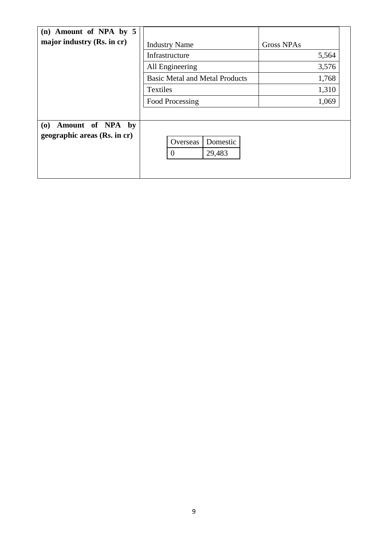| (n) Amount of NPA by 5       |                                       |                   |
|------------------------------|---------------------------------------|-------------------|
| major industry (Rs. in cr)   | <b>Industry Name</b>                  | <b>Gross NPAs</b> |
|                              | Infrastructure                        | 5,564             |
|                              | All Engineering                       | 3,576             |
|                              | <b>Basic Metal and Metal Products</b> | 1,768             |
|                              | <b>Textiles</b>                       | 1,310             |
|                              | Food Processing                       | 1,069             |
|                              |                                       |                   |
| Amount of NPA<br>(0)<br>by   |                                       |                   |
| geographic areas (Rs. in cr) | Domestic<br>Overseas                  |                   |
|                              | 29,483<br>$\overline{0}$              |                   |
|                              |                                       |                   |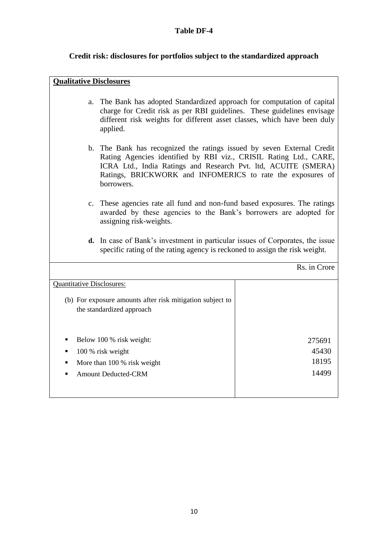#### **Table DF-4**

# **Credit risk: disclosures for portfolios subject to the standardized approach**

| <b>Qualitative Disclosures</b>                                                                                                                                      |                                                                                                                                                                                                                                                                                           |                                   |
|---------------------------------------------------------------------------------------------------------------------------------------------------------------------|-------------------------------------------------------------------------------------------------------------------------------------------------------------------------------------------------------------------------------------------------------------------------------------------|-----------------------------------|
| a.                                                                                                                                                                  | The Bank has adopted Standardized approach for computation of capital<br>charge for Credit risk as per RBI guidelines. These guidelines envisage<br>different risk weights for different asset classes, which have been duly<br>applied.                                                  |                                   |
|                                                                                                                                                                     | b. The Bank has recognized the ratings issued by seven External Credit<br>Rating Agencies identified by RBI viz., CRISIL Rating Ltd., CARE,<br>ICRA Ltd., India Ratings and Research Pvt. ltd, ACUITE (SMERA)<br>Ratings, BRICKWORK and INFOMERICS to rate the exposures of<br>borrowers. |                                   |
|                                                                                                                                                                     | c. These agencies rate all fund and non-fund based exposures. The ratings<br>awarded by these agencies to the Bank's borrowers are adopted for<br>assigning risk-weights.                                                                                                                 |                                   |
| <b>d.</b> In case of Bank's investment in particular issues of Corporates, the issue<br>specific rating of the rating agency is reckoned to assign the risk weight. |                                                                                                                                                                                                                                                                                           |                                   |
|                                                                                                                                                                     |                                                                                                                                                                                                                                                                                           | Rs. in Crore                      |
| <b>Quantitative Disclosures:</b>                                                                                                                                    |                                                                                                                                                                                                                                                                                           |                                   |
|                                                                                                                                                                     | (b) For exposure amounts after risk mitigation subject to<br>the standardized approach                                                                                                                                                                                                    |                                   |
| $\blacksquare$                                                                                                                                                      | Below 100 % risk weight:<br>100 % risk weight<br>More than 100 % risk weight<br><b>Amount Deducted-CRM</b>                                                                                                                                                                                | 275691<br>45430<br>18195<br>14499 |

10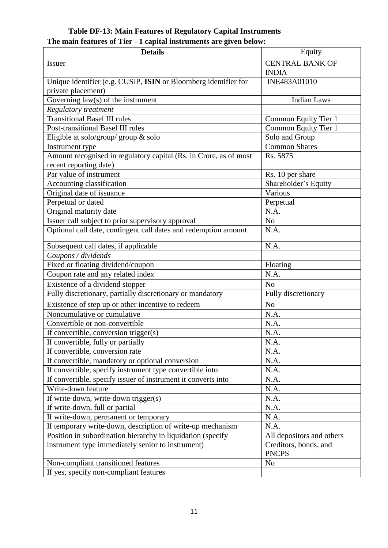#### **Table DF-13: Main Features of Regulatory Capital Instruments The main features of Tier - 1 capital instruments are given below:**

| <b>Details</b>                                                    | Equity                                |
|-------------------------------------------------------------------|---------------------------------------|
| <b>Issuer</b>                                                     | <b>CENTRAL BANK OF</b>                |
|                                                                   | <b>INDIA</b>                          |
| Unique identifier (e.g. CUSIP, ISIN or Bloomberg identifier for   | INE483A01010                          |
| private placement)                                                |                                       |
| Governing law(s) of the instrument                                | <b>Indian Laws</b>                    |
| Regulatory treatment                                              |                                       |
| <b>Transitional Basel III rules</b>                               | Common Equity Tier 1                  |
| Post-transitional Basel III rules                                 | Common Equity Tier 1                  |
| Eligible at solo/group/ group $\&$ solo                           | Solo and Group                        |
| Instrument type                                                   | Common Shares                         |
| Amount recognised in regulatory capital (Rs. in Crore, as of most | Rs. 5875                              |
| recent reporting date)                                            |                                       |
| Par value of instrument                                           | Rs. 10 per share                      |
| Accounting classification                                         | Shareholder's Equity                  |
| Original date of issuance                                         | Various                               |
| Perpetual or dated                                                | Perpetual                             |
| Original maturity date                                            | N.A.                                  |
| Issuer call subject to prior supervisory approval                 | No                                    |
| Optional call date, contingent call dates and redemption amount   | N.A.                                  |
| Subsequent call dates, if applicable                              | N.A.                                  |
| Coupons / dividends                                               |                                       |
| Fixed or floating dividend/coupon                                 | Floating                              |
| Coupon rate and any related index                                 | N.A.                                  |
| Existence of a dividend stopper                                   | N <sub>o</sub>                        |
| Fully discretionary, partially discretionary or mandatory         | Fully discretionary                   |
| Existence of step up or other incentive to redeem                 | N <sub>o</sub>                        |
| Noncumulative or cumulative                                       | N.A.                                  |
| Convertible or non-convertible                                    | N.A.                                  |
| If convertible, conversion trigger(s)                             | N.A.                                  |
| If convertible, fully or partially                                | N.A.                                  |
| If convertible, conversion rate                                   | N.A.                                  |
| If convertible, mandatory or optional conversion                  | N.A.                                  |
| If convertible, specify instrument type convertible into          | N.A.                                  |
| If convertible, specify issuer of instrument it converts into     | N.A.                                  |
| Write-down feature                                                | N.A.                                  |
| If write-down, write-down trigger(s)                              | N.A.                                  |
| If write-down, full or partial                                    | N.A.                                  |
| If write-down, permanent or temporary                             | N.A.                                  |
| If temporary write-down, description of write-up mechanism        | N.A.                                  |
| Position in subordination hierarchy in liquidation (specify       | All depositors and others             |
| instrument type immediately senior to instrument)                 | Creditors, bonds, and<br><b>PNCPS</b> |
| Non-compliant transitioned features                               | N <sub>o</sub>                        |
| If yes, specify non-compliant features                            |                                       |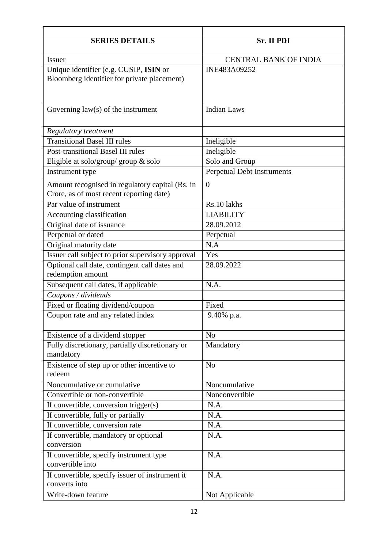| <b>SERIES DETAILS</b>                                                                       | Sr. II PDI                   |
|---------------------------------------------------------------------------------------------|------------------------------|
| <b>Issuer</b>                                                                               | <b>CENTRAL BANK OF INDIA</b> |
| Unique identifier (e.g. CUSIP, ISIN or<br>Bloomberg identifier for private placement)       | INE483A09252                 |
| Governing $law(s)$ of the instrument                                                        | <b>Indian Laws</b>           |
| <b>Regulatory treatment</b>                                                                 |                              |
| <b>Transitional Basel III rules</b>                                                         | Ineligible                   |
| Post-transitional Basel III rules                                                           | Ineligible                   |
| Eligible at solo/group/ group & solo                                                        | Solo and Group               |
| Instrument type                                                                             | Perpetual Debt Instruments   |
| Amount recognised in regulatory capital (Rs. in<br>Crore, as of most recent reporting date) | $\overline{0}$               |
| Par value of instrument                                                                     | Rs.10 lakhs                  |
| Accounting classification                                                                   | <b>LIABILITY</b>             |
| Original date of issuance                                                                   | 28.09.2012                   |
| Perpetual or dated                                                                          | Perpetual                    |
| Original maturity date                                                                      | N.A                          |
| Issuer call subject to prior supervisory approval                                           | Yes                          |
| Optional call date, contingent call dates and<br>redemption amount                          | 28.09.2022                   |
| Subsequent call dates, if applicable                                                        | N.A.                         |
| Coupons / dividends                                                                         |                              |
| Fixed or floating dividend/coupon                                                           | Fixed                        |
| Coupon rate and any related index                                                           | 9.40% p.a.                   |
| Existence of a dividend stopper                                                             | N <sub>o</sub>               |
| Fully discretionary, partially discretionary or<br>mandatory                                | Mandatory                    |
| Existence of step up or other incentive to<br>redeem                                        | N <sub>o</sub>               |
| Noncumulative or cumulative                                                                 | Noncumulative                |
| Convertible or non-convertible                                                              | Nonconvertible               |
| If convertible, conversion trigger(s)                                                       | N.A.                         |
| If convertible, fully or partially                                                          | N.A.                         |
| If convertible, conversion rate                                                             | N.A.                         |
| If convertible, mandatory or optional<br>conversion                                         | N.A.                         |
| If convertible, specify instrument type<br>convertible into                                 | N.A.                         |
| If convertible, specify issuer of instrument it<br>converts into                            | N.A.                         |
| Write-down feature                                                                          | Not Applicable               |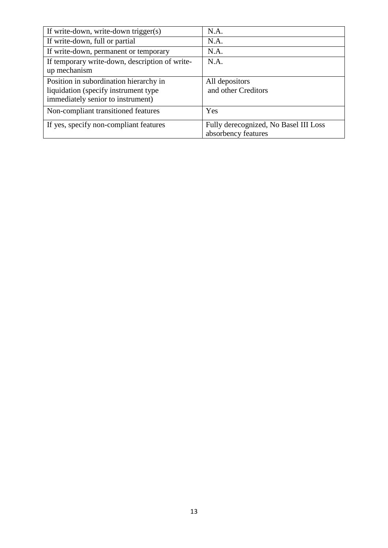| If write-down, write-down trigger(s)           | N.A.                                  |
|------------------------------------------------|---------------------------------------|
| If write-down, full or partial                 | N.A.                                  |
| If write-down, permanent or temporary          | N.A.                                  |
| If temporary write-down, description of write- | N.A.                                  |
| up mechanism                                   |                                       |
| Position in subordination hierarchy in         | All depositors                        |
| liquidation (specify instrument type)          | and other Creditors                   |
| immediately senior to instrument)              |                                       |
| Non-compliant transitioned features            | Yes                                   |
| If yes, specify non-compliant features         | Fully derecognized, No Basel III Loss |
|                                                | absorbency features                   |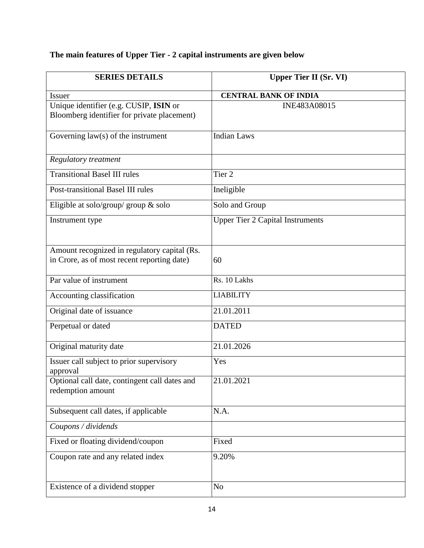# **The main features of Upper Tier - 2 capital instruments are given below**

| <b>SERIES DETAILS</b>                                                                       | <b>Upper Tier II (Sr. VI)</b>           |
|---------------------------------------------------------------------------------------------|-----------------------------------------|
| <b>Issuer</b>                                                                               | <b>CENTRAL BANK OF INDIA</b>            |
| Unique identifier (e.g. CUSIP, ISIN or<br>Bloomberg identifier for private placement)       | INE483A08015                            |
| Governing $law(s)$ of the instrument                                                        | <b>Indian Laws</b>                      |
| <b>Regulatory treatment</b>                                                                 |                                         |
| <b>Transitional Basel III rules</b>                                                         | Tier <sub>2</sub>                       |
| Post-transitional Basel III rules                                                           | Ineligible                              |
| Eligible at solo/group/ group & solo                                                        | Solo and Group                          |
| Instrument type                                                                             | <b>Upper Tier 2 Capital Instruments</b> |
| Amount recognized in regulatory capital (Rs.<br>in Crore, as of most recent reporting date) | 60                                      |
| Par value of instrument                                                                     | Rs. 10 Lakhs                            |
| Accounting classification                                                                   | <b>LIABILITY</b>                        |
| Original date of issuance                                                                   | 21.01.2011                              |
| Perpetual or dated                                                                          | <b>DATED</b>                            |
| Original maturity date                                                                      | 21.01.2026                              |
| Issuer call subject to prior supervisory<br>approval                                        | Yes                                     |
| Optional call date, contingent call dates and<br>redemption amount                          | 21.01.2021                              |
| Subsequent call dates, if applicable                                                        | N.A.                                    |
| Coupons / dividends                                                                         |                                         |
| Fixed or floating dividend/coupon                                                           | Fixed                                   |
| Coupon rate and any related index                                                           | 9.20%                                   |
| Existence of a dividend stopper                                                             | N <sub>o</sub>                          |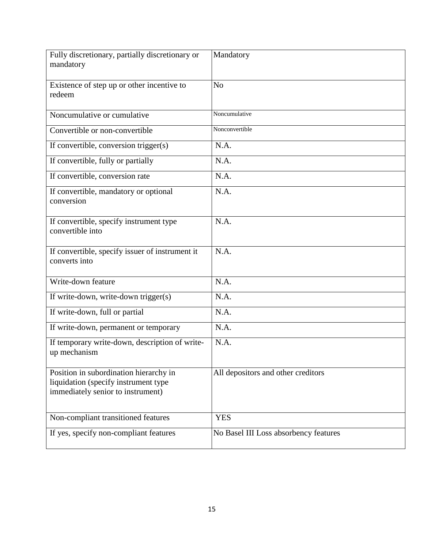| Fully discretionary, partially discretionary or<br>mandatory                                                        | Mandatory                             |
|---------------------------------------------------------------------------------------------------------------------|---------------------------------------|
| Existence of step up or other incentive to<br>redeem                                                                | N <sub>o</sub>                        |
| Noncumulative or cumulative                                                                                         | Noncumulative                         |
| Convertible or non-convertible                                                                                      | Nonconvertible                        |
| If convertible, conversion trigger(s)                                                                               | N.A.                                  |
| If convertible, fully or partially                                                                                  | N.A.                                  |
| If convertible, conversion rate                                                                                     | N.A.                                  |
| If convertible, mandatory or optional<br>conversion                                                                 | N.A.                                  |
| If convertible, specify instrument type<br>convertible into                                                         | N.A.                                  |
| If convertible, specify issuer of instrument it<br>converts into                                                    | N.A.                                  |
| Write-down feature                                                                                                  | N.A.                                  |
| If write-down, write-down trigger(s)                                                                                | N.A.                                  |
| If write-down, full or partial                                                                                      | N.A.                                  |
| If write-down, permanent or temporary                                                                               | N.A.                                  |
| If temporary write-down, description of write-<br>up mechanism                                                      | N.A.                                  |
| Position in subordination hierarchy in<br>liquidation (specify instrument type<br>immediately senior to instrument) | All depositors and other creditors    |
| Non-compliant transitioned features                                                                                 | <b>YES</b>                            |
| If yes, specify non-compliant features                                                                              | No Basel III Loss absorbency features |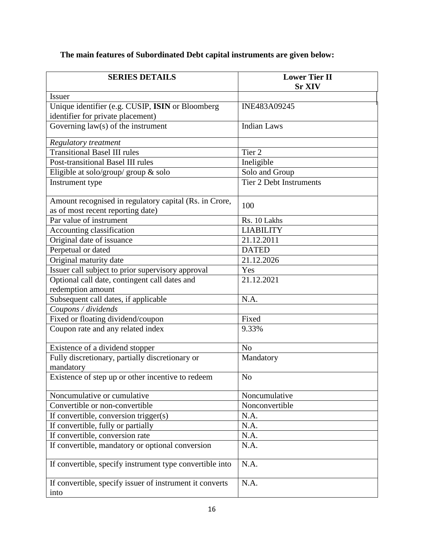### **The main features of Subordinated Debt capital instruments are given below:**

| <b>SERIES DETAILS</b>                                                     | <b>Lower Tier II</b>           |
|---------------------------------------------------------------------------|--------------------------------|
|                                                                           | <b>Sr XIV</b>                  |
| <b>Issuer</b>                                                             | INE483A09245                   |
| Unique identifier (e.g. CUSIP, ISIN or Bloomberg                          |                                |
| identifier for private placement)<br>Governing $law(s)$ of the instrument | <b>Indian Laws</b>             |
|                                                                           |                                |
| Regulatory treatment                                                      |                                |
| <b>Transitional Basel III rules</b>                                       | Tier <sub>2</sub>              |
| <b>Post-transitional Basel III rules</b>                                  | Ineligible                     |
| Eligible at solo/group/ group & solo                                      | Solo and Group                 |
| Instrument type                                                           | <b>Tier 2 Debt Instruments</b> |
|                                                                           |                                |
| Amount recognised in regulatory capital (Rs. in Crore,                    | 100                            |
| as of most recent reporting date)                                         |                                |
| Par value of instrument                                                   | Rs. 10 Lakhs                   |
| Accounting classification                                                 | <b>LIABILITY</b>               |
| Original date of issuance                                                 | 21.12.2011                     |
| Perpetual or dated                                                        | <b>DATED</b>                   |
| Original maturity date                                                    | 21.12.2026                     |
| Issuer call subject to prior supervisory approval                         | Yes                            |
| Optional call date, contingent call dates and                             | 21.12.2021                     |
| redemption amount                                                         |                                |
| Subsequent call dates, if applicable                                      | N.A.                           |
| Coupons / dividends                                                       |                                |
| Fixed or floating dividend/coupon                                         | Fixed                          |
| Coupon rate and any related index                                         | 9.33%                          |
|                                                                           |                                |
| Existence of a dividend stopper                                           | N <sub>o</sub>                 |
| Fully discretionary, partially discretionary or                           | Mandatory                      |
| mandatory                                                                 |                                |
| Existence of step up or other incentive to redeem                         | N <sub>o</sub>                 |
| Noncumulative or cumulative                                               | Noncumulative                  |
| Convertible or non-convertible                                            | Nonconvertible                 |
| If convertible, conversion trigger(s)                                     | N.A.                           |
| If convertible, fully or partially                                        | N.A.                           |
| If convertible, conversion rate                                           | N.A.                           |
| If convertible, mandatory or optional conversion                          | N.A.                           |
|                                                                           |                                |
| If convertible, specify instrument type convertible into                  | N.A.                           |
|                                                                           |                                |
| If convertible, specify issuer of instrument it converts                  | N.A.                           |
| into                                                                      |                                |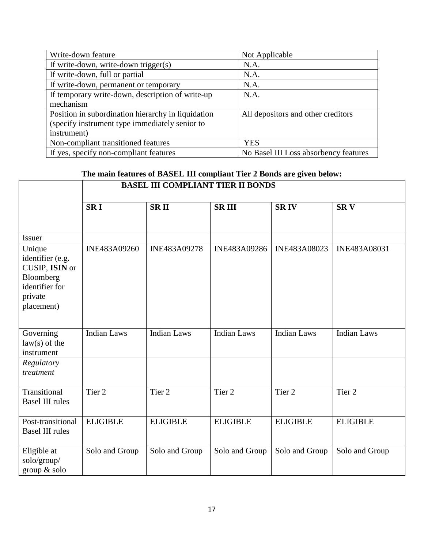| Write-down feature                                 | Not Applicable                        |
|----------------------------------------------------|---------------------------------------|
| If write-down, write-down trigger(s)               | N.A.                                  |
| If write-down, full or partial                     | N.A.                                  |
| If write-down, permanent or temporary              | N.A.                                  |
| If temporary write-down, description of write-up   | N.A.                                  |
| mechanism                                          |                                       |
| Position in subordination hierarchy in liquidation | All depositors and other creditors    |
| (specify instrument type immediately senior to     |                                       |
| instrument)                                        |                                       |
| Non-compliant transitioned features                | <b>YES</b>                            |
| If yes, specify non-compliant features             | No Basel III Loss absorbency features |

### **The main features of BASEL III compliant Tier 2 Bonds are given below:**

|                                                                                                      | <b>BASEL III COMPLIANT TIER II BONDS</b> |                    |                    |                    |                    |  |
|------------------------------------------------------------------------------------------------------|------------------------------------------|--------------------|--------------------|--------------------|--------------------|--|
|                                                                                                      | <b>SRI</b>                               | <b>SRII</b>        | <b>SRIII</b>       | <b>SRIV</b>        | <b>SRV</b>         |  |
| <b>Issuer</b>                                                                                        |                                          |                    |                    |                    |                    |  |
| Unique<br>identifier (e.g.<br>CUSIP, ISIN or<br>Bloomberg<br>identifier for<br>private<br>placement) | INE483A09260                             | INE483A09278       | INE483A09286       | INE483A08023       | INE483A08031       |  |
| Governing<br>$law(s)$ of the<br>instrument                                                           | <b>Indian Laws</b>                       | <b>Indian Laws</b> | <b>Indian Laws</b> | <b>Indian Laws</b> | <b>Indian Laws</b> |  |
| Regulatory<br>treatment                                                                              |                                          |                    |                    |                    |                    |  |
| Transitional<br><b>Basel III rules</b>                                                               | Tier 2                                   | Tier <sub>2</sub>  | Tier <sub>2</sub>  | Tier <sub>2</sub>  | Tier 2             |  |
| Post-transitional<br><b>Basel III rules</b>                                                          | <b>ELIGIBLE</b>                          | <b>ELIGIBLE</b>    | <b>ELIGIBLE</b>    | <b>ELIGIBLE</b>    | <b>ELIGIBLE</b>    |  |
| Eligible at<br>solo/group/<br>group & solo                                                           | Solo and Group                           | Solo and Group     | Solo and Group     | Solo and Group     | Solo and Group     |  |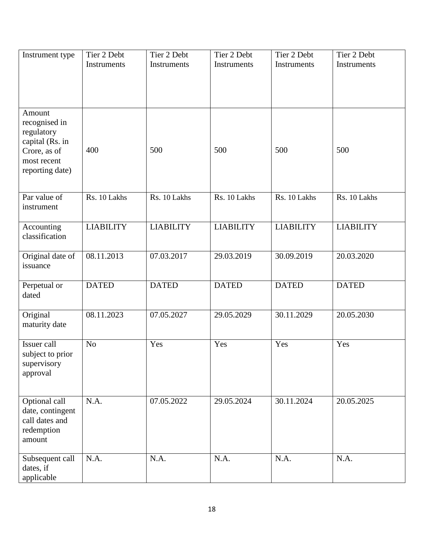| Instrument type                                                                                            | Tier 2 Debt<br>Instruments | Tier 2 Debt<br>Instruments | Tier 2 Debt<br>Instruments | Tier 2 Debt<br>Instruments | Tier 2 Debt<br>Instruments |
|------------------------------------------------------------------------------------------------------------|----------------------------|----------------------------|----------------------------|----------------------------|----------------------------|
| Amount<br>recognised in<br>regulatory<br>capital (Rs. in<br>Crore, as of<br>most recent<br>reporting date) | 400                        | 500                        | 500                        | 500                        | 500                        |
| Par value of<br>instrument                                                                                 | Rs. 10 Lakhs               | Rs. 10 Lakhs               | Rs. 10 Lakhs               | Rs. 10 Lakhs               | Rs. 10 Lakhs               |
| Accounting<br>classification                                                                               | <b>LIABILITY</b>           | <b>LIABILITY</b>           | <b>LIABILITY</b>           | <b>LIABILITY</b>           | <b>LIABILITY</b>           |
| Original date of<br>issuance                                                                               | 08.11.2013                 | 07.03.2017                 | 29.03.2019                 | 30.09.2019                 | 20.03.2020                 |
| Perpetual or<br>dated                                                                                      | <b>DATED</b>               | <b>DATED</b>               | <b>DATED</b>               | <b>DATED</b>               | <b>DATED</b>               |
| Original<br>maturity date                                                                                  | 08.11.2023                 | 07.05.2027                 | 29.05.2029                 | 30.11.2029                 | 20.05.2030                 |
| Issuer call<br>subject to prior<br>supervisory<br>approval                                                 | N <sub>o</sub>             | Yes                        | Yes                        | Yes                        | Yes                        |
| Optional call<br>date, contingent<br>call dates and<br>redemption<br>amount                                | N.A.                       | 07.05.2022                 | 29.05.2024                 | 30.11.2024                 | 20.05.2025                 |
| Subsequent call<br>dates, if<br>applicable                                                                 | N.A.                       | N.A.                       | N.A.                       | N.A.                       | N.A.                       |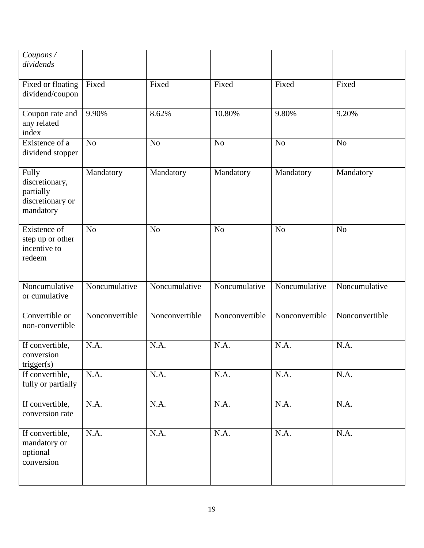| Coupons /<br>dividends                                                |                |                |                |                |                |
|-----------------------------------------------------------------------|----------------|----------------|----------------|----------------|----------------|
| Fixed or floating<br>dividend/coupon                                  | Fixed          | Fixed          | Fixed          | Fixed          | Fixed          |
| Coupon rate and<br>any related<br>index                               | 9.90%          | 8.62%          | 10.80%         | 9.80%          | 9.20%          |
| Existence of a<br>dividend stopper                                    | N <sub>o</sub> | N <sub>o</sub> | N <sub>o</sub> | N <sub>o</sub> | N <sub>o</sub> |
| Fully<br>discretionary,<br>partially<br>discretionary or<br>mandatory | Mandatory      | Mandatory      | Mandatory      | Mandatory      | Mandatory      |
| Existence of<br>step up or other<br>incentive to<br>redeem            | N <sub>o</sub> | N <sub>o</sub> | N <sub>o</sub> | N <sub>o</sub> | N <sub>o</sub> |
| Noncumulative<br>or cumulative                                        | Noncumulative  | Noncumulative  | Noncumulative  | Noncumulative  | Noncumulative  |
| Convertible or<br>non-convertible                                     | Nonconvertible | Nonconvertible | Nonconvertible | Nonconvertible | Nonconvertible |
| If convertible,<br>conversion<br>trigger(s)                           | N.A.           | N.A.           | N.A.           | N.A.           | N.A.           |
| If convertible,<br>fully or partially                                 | N.A.           | N.A.           | N.A.           | N.A.           | N.A.           |
| If convertible,<br>conversion rate                                    | N.A.           | N.A.           | N.A.           | N.A.           | N.A.           |
| If convertible,<br>mandatory or<br>optional<br>conversion             | N.A.           | N.A.           | N.A.           | N.A.           | N.A.           |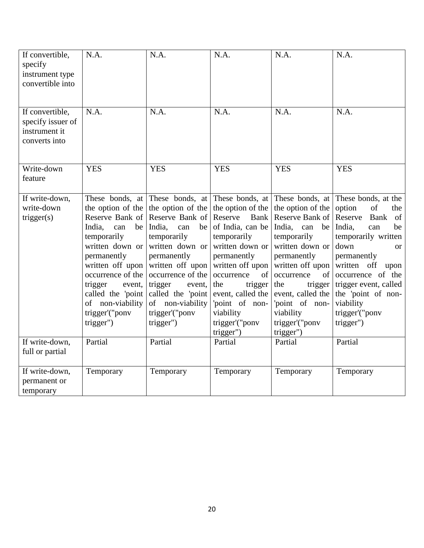| If convertible,<br>specify<br>instrument type<br>convertible into      | N.A.                                                                                                                                                                                                                                               | N.A.                                                                                                                                                                                                                                                                                  | N.A.                                                                                                                                                                                                                                                                      | N.A.                                                                                                                                                                                                                                                                         | N.A.                                                                                                                                                                                                                                                                                         |
|------------------------------------------------------------------------|----------------------------------------------------------------------------------------------------------------------------------------------------------------------------------------------------------------------------------------------------|---------------------------------------------------------------------------------------------------------------------------------------------------------------------------------------------------------------------------------------------------------------------------------------|---------------------------------------------------------------------------------------------------------------------------------------------------------------------------------------------------------------------------------------------------------------------------|------------------------------------------------------------------------------------------------------------------------------------------------------------------------------------------------------------------------------------------------------------------------------|----------------------------------------------------------------------------------------------------------------------------------------------------------------------------------------------------------------------------------------------------------------------------------------------|
| If convertible,<br>specify issuer of<br>instrument it<br>converts into | N.A.                                                                                                                                                                                                                                               | N.A.                                                                                                                                                                                                                                                                                  | N.A.                                                                                                                                                                                                                                                                      | N.A.                                                                                                                                                                                                                                                                         | N.A.                                                                                                                                                                                                                                                                                         |
| Write-down<br>feature                                                  | <b>YES</b>                                                                                                                                                                                                                                         | <b>YES</b>                                                                                                                                                                                                                                                                            | <b>YES</b>                                                                                                                                                                                                                                                                | <b>YES</b>                                                                                                                                                                                                                                                                   | <b>YES</b>                                                                                                                                                                                                                                                                                   |
| If write-down,<br>write-down<br>trigger(s)                             | the option of the<br>Reserve Bank of<br>India,<br>can<br>be<br>temporarily<br>written down or<br>permanently<br>written off upon<br>occurrence of the<br>trigger<br>event,<br>called the 'point<br>of non-viability<br>trigger'("ponv<br>trigger") | These bonds, at These bonds, at<br>the option of the<br>Reserve Bank of<br>India,<br>can<br>be<br>temporarily<br>written down or<br>permanently<br>written off upon<br>occurrence of the<br>trigger<br>event,<br>called the 'point<br>of non-viability<br>trigger'("ponv<br>trigger") | These bonds, at<br>the option of the<br>Reserve<br>Bank<br>of India, can be<br>temporarily<br>written down or<br>permanently<br>written off upon<br>of<br>occurrence<br>the<br>trigger<br>event, called the<br>'point of non-<br>viability<br>trigger'("pony<br>trigger") | These bonds, at<br>the option of the<br>Reserve Bank of<br>India,<br>can<br>be<br>temporarily<br>written down or<br>permanently<br>written off upon<br>occurrence<br>of<br>trigger<br>the<br>event, called the<br>'point of non-<br>viability<br>trigger'("ponv<br>trigger") | These bonds, at the<br>option<br>of<br>the<br>Reserve<br>Bank<br>of<br>India,<br>be<br>can<br>temporarily written<br>down<br><b>or</b><br>permanently<br>written off<br>upon<br>occurrence of the<br>trigger event, called<br>the 'point of non-<br>viability<br>trigger'("ponv<br>trigger") |
| If write-down,<br>full or partial                                      | Partial                                                                                                                                                                                                                                            | Partial                                                                                                                                                                                                                                                                               | Partial                                                                                                                                                                                                                                                                   | Partial                                                                                                                                                                                                                                                                      | Partial                                                                                                                                                                                                                                                                                      |
| If write-down,<br>permanent or<br>temporary                            | Temporary                                                                                                                                                                                                                                          | Temporary                                                                                                                                                                                                                                                                             | Temporary                                                                                                                                                                                                                                                                 | Temporary                                                                                                                                                                                                                                                                    | Temporary                                                                                                                                                                                                                                                                                    |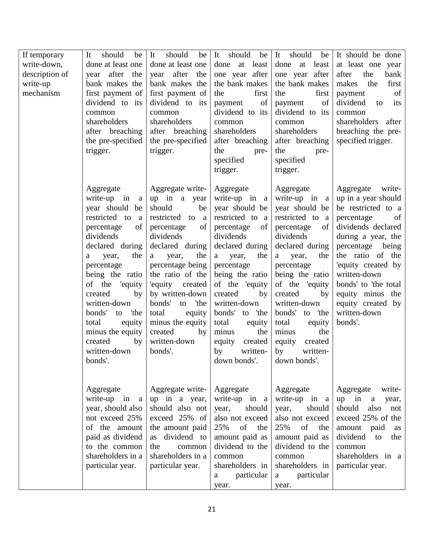| If temporary<br>write-down,<br>description of<br>write-up<br>mechanism | should<br>be<br>It<br>done at least one<br>after<br>the<br>year<br>bank makes the<br>first payment of<br>dividend to its<br>common<br>shareholders<br>after breaching<br>the pre-specified<br>trigger.                                                                                                                                           | It<br>should<br>be<br>done at least one<br>after<br>the<br>year<br>bank makes the<br>first payment of<br>dividend to its<br>common<br>shareholders<br>after breaching<br>the pre-specified<br>trigger.                                                                                                                                | should<br>be<br>It<br>least<br>done<br>at<br>one year after<br>the bank makes<br>first<br>the<br>of<br>payment<br>dividend to its<br>common<br>shareholders<br>after breaching<br>the<br>pre-<br>specified<br>trigger.                                                                                                                      | should<br>It<br>be<br>at least<br>done<br>one year after<br>the bank makes<br>first<br>the<br>of<br>payment<br>dividend to its<br>common<br>shareholders<br>after breaching<br>the<br>pre-<br>specified<br>trigger.                                                                                                                            | It should be done<br>at least one year<br>after<br>the<br>bank<br>makes<br>the<br>first<br>of<br>payment<br>dividend<br>its<br>to<br>common<br>shareholders after<br>breaching the pre-<br>specified trigger.                                                                                              |
|------------------------------------------------------------------------|--------------------------------------------------------------------------------------------------------------------------------------------------------------------------------------------------------------------------------------------------------------------------------------------------------------------------------------------------|---------------------------------------------------------------------------------------------------------------------------------------------------------------------------------------------------------------------------------------------------------------------------------------------------------------------------------------|---------------------------------------------------------------------------------------------------------------------------------------------------------------------------------------------------------------------------------------------------------------------------------------------------------------------------------------------|------------------------------------------------------------------------------------------------------------------------------------------------------------------------------------------------------------------------------------------------------------------------------------------------------------------------------------------------|------------------------------------------------------------------------------------------------------------------------------------------------------------------------------------------------------------------------------------------------------------------------------------------------------------|
|                                                                        | Aggregate<br>write-up in<br>a<br>year should<br>be<br>restricted to<br>a<br>of<br>percentage<br>dividends<br>declared during<br>the<br>year,<br>a<br>percentage<br>being the ratio<br>of the 'equity<br>created<br>by<br>written-down<br>bonds'<br>'the<br>to<br>total<br>equity<br>minus the equity<br>by<br>created<br>written-down<br>bonds'. | Aggregate write-<br>up in a year<br>should<br>be<br>restricted<br>to a<br>of<br>percentage<br>dividends<br>declared during<br>the<br>year,<br>a<br>percentage being<br>the ratio of the<br>'equity<br>created<br>by written-down<br>bonds' to 'the<br>total<br>equity<br>minus the equity<br>created<br>by<br>written-down<br>bonds'. | Aggregate<br>write-up in<br>a<br>year should be<br>restricted to a<br>of<br>percentage<br>dividends<br>declared during<br>the<br>year,<br>a<br>percentage<br>being the ratio<br>of the 'equity<br>created<br>by<br>written-down<br>bonds' to 'the<br>total<br>equity<br>minus<br>the<br>created<br>equity<br>by<br>written-<br>down bonds'. | Aggregate<br>write-up in<br>a<br>year should be<br>restricted to<br>a<br>of<br>percentage<br>dividends<br>declared during<br>year,<br>the<br>a<br>percentage<br>being the ratio<br>of the 'equity<br>created<br>by<br>written-down<br>bonds' to 'the<br>total<br>equity<br>the<br>minus<br>created<br>equity<br>by<br>written-<br>down bonds'. | Aggregate<br>write-<br>up in a year should<br>be restricted to a<br>of<br>percentage<br>dividends declared<br>during a year, the<br>percentage being<br>the ratio of the<br>'equity created by<br>written-down<br>bonds' to 'the total<br>equity minus the<br>equity created by<br>written-down<br>bonds'. |
|                                                                        | Aggregate<br>write-up in<br>$\mathbf{a}$<br>year, should also<br>not exceed 25%<br>of the amount<br>paid as dividend<br>to the common<br>shareholders in a<br>particular year.                                                                                                                                                                   | Aggregate write-<br>up in a year,<br>should also not<br>exceed 25% of<br>the amount paid<br>as dividend to<br>the<br>common<br>shareholders in a<br>particular year.                                                                                                                                                                  | Aggregate<br>write-up in a<br>should<br>year,<br>also not exceed<br>25%<br>of<br>the<br>amount paid as<br>dividend to the<br>common<br>shareholders in<br>particular<br>a<br>year.                                                                                                                                                          | Aggregate<br>write-up in a<br>year,<br>should<br>also not exceed<br>25%<br>of<br>the<br>amount paid as<br>dividend to the<br>common<br>shareholders in<br>particular<br>a<br>year.                                                                                                                                                             | write-<br>Aggregate<br>up in a<br>year,<br>should<br>also<br>not<br>exceed 25% of the<br>amount paid<br>as<br>dividend<br>to<br>the<br>common<br>shareholders in a<br>particular year.                                                                                                                     |